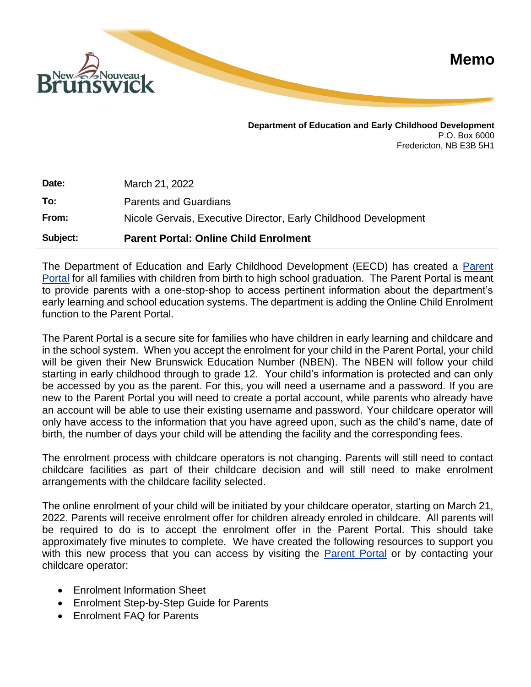

**Department of Education and Early Childhood Development**  P.O. Box 6000 Fredericton, NB E3B 5H1

| Subject: | <b>Parent Portal: Online Child Enrolment</b>                    |
|----------|-----------------------------------------------------------------|
| From:    | Nicole Gervais, Executive Director, Early Childhood Development |
| To:      | <b>Parents and Guardians</b>                                    |
| Date:    | March 21, 2022                                                  |

The Department of Education and Early Childhood Development (EECD) has created a Parent [Portal](https://www.nbed.nb.ca/parentportal/en/) for all families with children from birth to high school graduation. The Parent Portal is meant to provide parents with a one-stop-shop to access pertinent information about the department's early learning and school education systems. The department is adding the Online Child Enrolment function to the Parent Portal.

The Parent Portal is a secure site for families who have children in early learning and childcare and in the school system. When you accept the enrolment for your child in the Parent Portal, your child will be given their New Brunswick Education Number (NBEN). The NBEN will follow your child starting in early childhood through to grade 12. Your child's information is protected and can only be accessed by you as the parent. For this, you will need a username and a password. If you are new to the Parent Portal you will need to create a portal account, while parents who already have an account will be able to use their existing username and password. Your childcare operator will only have access to the information that you have agreed upon, such as the child's name, date of birth, the number of days your child will be attending the facility and the corresponding fees.

The enrolment process with childcare operators is not changing. Parents will still need to contact childcare facilities as part of their childcare decision and will still need to make enrolment arrangements with the childcare facility selected.

The online enrolment of your child will be initiated by your childcare operator, starting on March 21, 2022. Parents will receive enrolment offer for children already enroled in childcare. All parents will be required to do is to accept the enrolment offer in the Parent Portal. This should take approximately five minutes to complete. We have created the following resources to support you with this new process that you can access by visiting the [Parent Portal](https://www.nbed.nb.ca/parentportal/en/) or by contacting your childcare operator:

- Enrolment Information Sheet
- Enrolment Step-by-Step Guide for Parents
- Enrolment FAQ for Parents